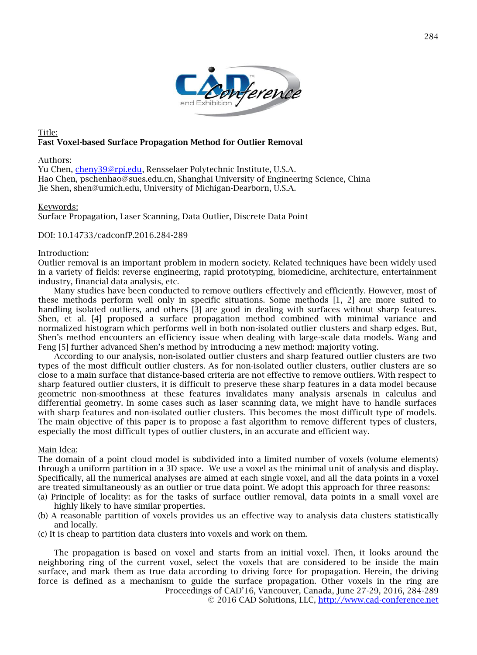

### Title: Fast Voxel-based Surface Propagation Method for Outlier Removal

#### Authors:

Yu Chen, [cheny39@rpi.edu,](mailto:cheny39@rpi.edu) Rensselaer Polytechnic Institute, U.S.A. Hao Chen, pschenhao@sues.edu.cn, Shanghai University of Engineering Science, China Jie Shen, shen@umich.edu, University of Michigan-Dearborn, U.S.A.

#### Keywords:

Surface Propagation, Laser Scanning, Data Outlier, Discrete Data Point

DOI: 10.14733/cadconfP.2016.284-289

#### Introduction:

Outlier removal is an important problem in modern society. Related techniques have been widely used in a variety of fields: reverse engineering, rapid prototyping, biomedicine, architecture, entertainment industry, financial data analysis, etc.

Many studies have been conducted to remove outliers effectively and efficiently. However, most of these methods perform well only in specific situations. Some methods [1, 2] are more suited to handling isolated outliers, and others [3] are good in dealing with surfaces without sharp features. Shen, et al. [4] proposed a surface propagation method combined with minimal variance and normalized histogram which performs well in both non-isolated outlier clusters and sharp edges. But, Shen's method encounters an efficiency issue when dealing with large-scale data models. Wang and Feng [5] further advanced Shen's method by introducing a new method: majority voting.

According to our analysis, non-isolated outlier clusters and sharp featured outlier clusters are two types of the most difficult outlier clusters. As for non-isolated outlier clusters, outlier clusters are so close to a main surface that distance-based criteria are not effective to remove outliers. With respect to sharp featured outlier clusters, it is difficult to preserve these sharp features in a data model because geometric non-smoothness at these features invalidates many analysis arsenals in calculus and differential geometry. In some cases such as laser scanning data, we might have to handle surfaces with sharp features and non-isolated outlier clusters. This becomes the most difficult type of models. The main objective of this paper is to propose a fast algorithm to remove different types of clusters, especially the most difficult types of outlier clusters, in an accurate and efficient way.

### Main Idea:

The domain of a point cloud model is subdivided into a limited number of voxels (volume elements) through a uniform partition in a 3D space. We use a voxel as the minimal unit of analysis and display. Specifically, all the numerical analyses are aimed at each single voxel, and all the data points in a voxel are treated simultaneously as an outlier or true data point. We adopt this approach for three reasons:

- (a) Principle of locality: as for the tasks of surface outlier removal, data points in a small voxel are highly likely to have similar properties.
- (b) A reasonable partition of voxels provides us an effective way to analysis data clusters statistically and locally.
- (c) It is cheap to partition data clusters into voxels and work on them.

Proceedings of CAD'16, Vancouver, Canada, June 27-29, 2016, 284-289 The propagation is based on voxel and starts from an initial voxel. Then, it looks around the neighboring ring of the current voxel, select the voxels that are considered to be inside the main surface, and mark them as true data according to driving force for propagation. Herein, the driving force is defined as a mechanism to guide the surface propagation. Other voxels in the ring are

© 2016 CAD Solutions, LLC, [http://www.cad-conference.net](http://www.cad-conference.net/)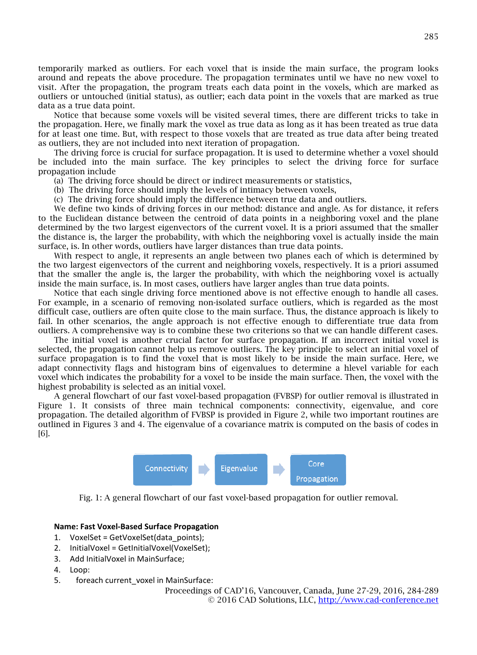temporarily marked as outliers. For each voxel that is inside the main surface, the program looks around and repeats the above procedure. The propagation terminates until we have no new voxel to visit. After the propagation, the program treats each data point in the voxels, which are marked as outliers or untouched (initial status), as outlier; each data point in the voxels that are marked as true data as a true data point.

Notice that because some voxels will be visited several times, there are different tricks to take in the propagation. Here, we finally mark the voxel as true data as long as it has been treated as true data for at least one time. But, with respect to those voxels that are treated as true data after being treated as outliers, they are not included into next iteration of propagation.

The driving force is crucial for surface propagation. It is used to determine whether a voxel should be included into the main surface. The key principles to select the driving force for surface propagation include

(a) The driving force should be direct or indirect measurements or statistics,

- (b) The driving force should imply the levels of intimacy between voxels,
- (c) The driving force should imply the difference between true data and outliers.

We define two kinds of driving forces in our method: distance and angle. As for distance, it refers to the Euclidean distance between the centroid of data points in a neighboring voxel and the plane determined by the two largest eigenvectors of the current voxel. It is a priori assumed that the smaller the distance is, the larger the probability, with which the neighboring voxel is actually inside the main surface, is. In other words, outliers have larger distances than true data points.

With respect to angle, it represents an angle between two planes each of which is determined by the two largest eigenvectors of the current and neighboring voxels, respectively. It is a priori assumed that the smaller the angle is, the larger the probability, with which the neighboring voxel is actually inside the main surface, is. In most cases, outliers have larger angles than true data points.

Notice that each single driving force mentioned above is not effective enough to handle all cases. For example, in a scenario of removing non-isolated surface outliers, which is regarded as the most difficult case, outliers are often quite close to the main surface. Thus, the distance approach is likely to fail. In other scenarios, the angle approach is not effective enough to differentiate true data from outliers. A comprehensive way is to combine these two criterions so that we can handle different cases.

The initial voxel is another crucial factor for surface propagation. If an incorrect initial voxel is selected, the propagation cannot help us remove outliers. The key principle to select an initial voxel of surface propagation is to find the voxel that is most likely to be inside the main surface. Here, we adapt connectivity flags and histogram bins of eigenvalues to determine a hlevel variable for each voxel which indicates the probability for a voxel to be inside the main surface. Then, the voxel with the highest probability is selected as an initial voxel.

A general flowchart of our fast voxel-based propagation (FVBSP) for outlier removal is illustrated in Figure 1. It consists of three main technical components: connectivity, eigenvalue, and core propagation. The detailed algorithm of FVBSP is provided in Figure 2, while two important routines are outlined in Figures 3 and 4. The eigenvalue of a covariance matrix is computed on the basis of codes in [6].



Fig. 1: A general flowchart of our fast voxel-based propagation for outlier removal.

### **Name: Fast Voxel-Based Surface Propagation**

- 1. VoxelSet = GetVoxelSet(data\_points);
- 2. InitialVoxel = GetInitialVoxel(VoxelSet);
- 3. Add InitialVoxel in MainSurface;
- 4. Loop:
- 5. foreach current voxel in MainSurface:

Proceedings of CAD'16, Vancouver, Canada, June 27-29, 2016, 284-289 © 2016 CAD Solutions, LLC, [http://www.cad-conference.net](http://www.cad-conference.net/)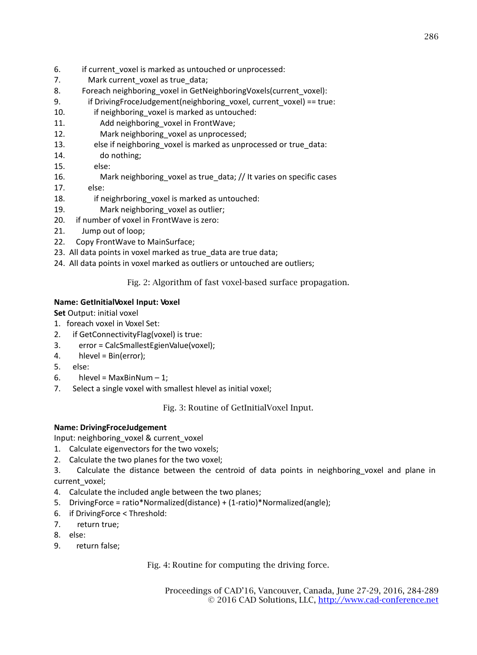- 6. if current voxel is marked as untouched or unprocessed:
- 7. Mark current voxel as true data;
- 8. Foreach neighboring voxel in GetNeighboringVoxels(current voxel):
- 9. if DrivingFroceJudgement(neighboring voxel, current voxel) == true:
- 10. if neighboring voxel is marked as untouched:
- 11. Add neighboring voxel in FrontWave;
- 12. Mark neighboring voxel as unprocessed;
- 13. else if neighboring\_voxel is marked as unprocessed or true\_data:
- 14. do nothing;
- 15. else:
- 16. Mark neighboring\_voxel as true\_data; // It varies on specific cases
- 17. else:
- 18. if neighrboring voxel is marked as untouched:
- 19. Mark neighboring voxel as outlier;
- 20. if number of voxel in FrontWave is zero:
- 21. Jump out of loop;
- 22. Copy FrontWave to MainSurface;
- 23. All data points in voxel marked as true data are true data;
- 24. All data points in voxel marked as outliers or untouched are outliers;

Fig. 2: Algorithm of fast voxel-based surface propagation.

# **Name: GetInitialVoxel Input: Voxel**

**Set** Output: initial voxel

- 1. foreach voxel in Voxel Set:
- 2. if GetConnectivityFlag(voxel) is true:
- 3. error = CalcSmallestEgienValue(voxel);
- 4. hlevel = Bin(error);
- 5. else:
- 6. hlevel = MaxBinNum  $-1$ ;
- 7. Select a single voxel with smallest hlevel as initial voxel;

Fig. 3: Routine of GetInitialVoxel Input.

# **Name: DrivingFroceJudgement**

Input: neighboring\_voxel & current\_voxel

- 1. Calculate eigenvectors for the two voxels;
- 2. Calculate the two planes for the two voxel;
- 3. Calculate the distance between the centroid of data points in neighboring\_voxel and plane in current\_voxel;
- 4. Calculate the included angle between the two planes;
- 5. DrivingForce = ratio\*Normalized(distance) + (1-ratio)\*Normalized(angle);
- 6. if DrivingForce < Threshold:
- 7. return true;
- 8. else:
- 9. return false;

Fig. 4: Routine for computing the driving force.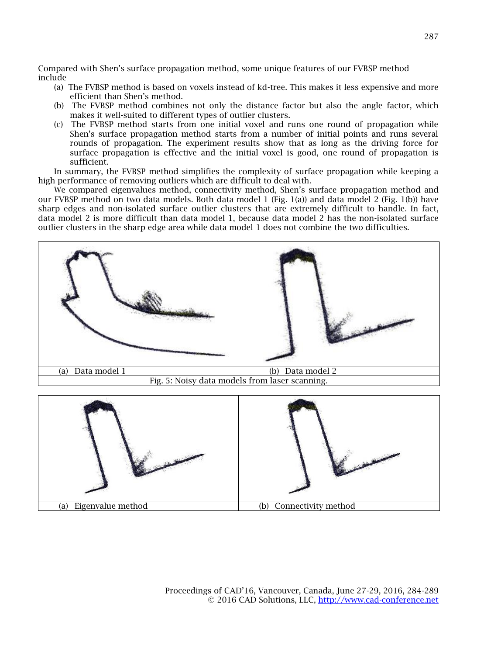Compared with Shen's surface propagation method, some unique features of our FVBSP method include

- (a) The FVBSP method is based on voxels instead of kd-tree. This makes it less expensive and more efficient than Shen's method.
- (b) The FVBSP method combines not only the distance factor but also the angle factor, which makes it well-suited to different types of outlier clusters.
- (c) The FVBSP method starts from one initial voxel and runs one round of propagation while Shen's surface propagation method starts from a number of initial points and runs several rounds of propagation. The experiment results show that as long as the driving force for surface propagation is effective and the initial voxel is good, one round of propagation is sufficient.

In summary, the FVBSP method simplifies the complexity of surface propagation while keeping a high performance of removing outliers which are difficult to deal with.

We compared eigenvalues method, connectivity method, Shen's surface propagation method and our FVBSP method on two data models. Both data model 1 (Fig. 1(a)) and data model 2 (Fig. 1(b)) have sharp edges and non-isolated surface outlier clusters that are extremely difficult to handle. In fact, data model 2 is more difficult than data model 1, because data model 2 has the non-isolated surface outlier clusters in the sharp edge area while data model 1 does not combine the two difficulties.

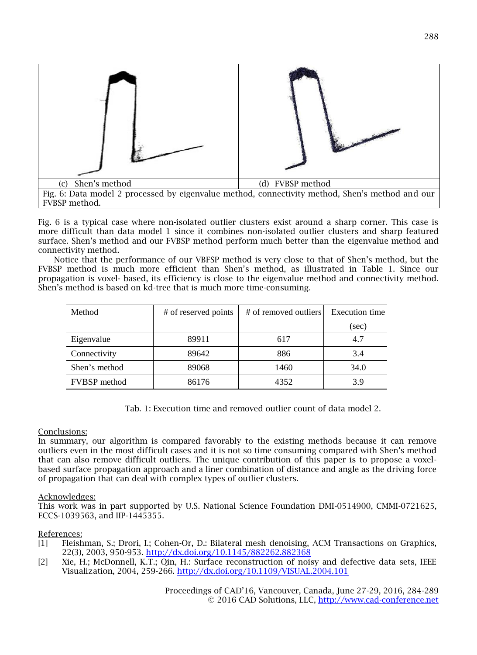

Fig. 6 is a typical case where non-isolated outlier clusters exist around a sharp corner. This case is more difficult than data model 1 since it combines non-isolated outlier clusters and sharp featured surface. Shen's method and our FVBSP method perform much better than the eigenvalue method and connectivity method.

Notice that the performance of our VBFSP method is very close to that of Shen's method, but the FVBSP method is much more efficient than Shen's method, as illustrated in Table 1. Since our propagation is voxel- based, its efficiency is close to the eigenvalue method and connectivity method. Shen's method is based on kd-tree that is much more time-consuming.

| Method              | # of reserved points | # of removed outliers | Execution time |
|---------------------|----------------------|-----------------------|----------------|
|                     |                      |                       | (sec)          |
| Eigenvalue          | 89911                | 617                   | 4.7            |
| Connectivity        | 89642                | 886                   | 3.4            |
| Shen's method       | 89068                | 1460                  | 34.0           |
| <b>FVBSP</b> method | 86176                | 4352                  | 3.9            |

Tab. 1: Execution time and removed outlier count of data model 2.

# Conclusions:

In summary, our algorithm is compared favorably to the existing methods because it can remove outliers even in the most difficult cases and it is not so time consuming compared with Shen's method that can also remove difficult outliers. The unique contribution of this paper is to propose a voxelbased surface propagation approach and a liner combination of distance and angle as the driving force of propagation that can deal with complex types of outlier clusters.

### Acknowledges:

This work was in part supported by U.S. National Science Foundation DMI-0514900, CMMI-0721625, ECCS-1039563, and IIP-1445355.

### References:

- [1] Fleishman, S.; Drori, I.; Cohen-Or, D.: Bilateral mesh denoising, ACM Transactions on Graphics, 22(3), 2003, 950-953. <http://dx.doi.org/10.1145/882262.882368>
- [2] Xie, H.; McDonnell, K.T.; Qin, H.: Surface reconstruction of noisy and defective data sets, IEEE Visualization, 2004, 259-266. <http://dx.doi.org/10.1109/VISUAL.2004.101>